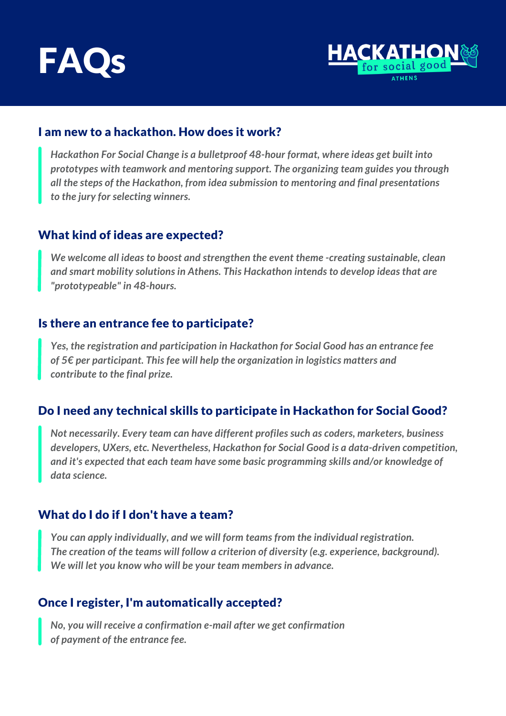



### I am new to a hackathon. How does it work?

*Hackathon For Social Change is a bulletproof 48-hour format, where ideas get built into prototypes with teamwork and mentoring support. The organizing team guides you through all the steps of the Hackathon, from idea submission to mentoring and final presentations to the jury for selecting winners.*

### What kind of ideas are expected?

*We welcome all ideas to boost and strengthen the event theme -creating sustainable, clean and smart mobility solutions in Athens. This Hackathon intends to develop ideas that are "prototypeable" in 48-hours.*

#### Is there an entrance fee to participate?

*Yes, the registration and participation in Hackathon for Social Good has an entrance fee of 5€ per participant. This fee will help the organization in logistics matters and contribute to the final prize.*

# Do I need any technical skills to participate in Hackathon for Social Good?

*Not necessarily. Every team can have different profiles such as coders, marketers, business developers, UXers, etc. Nevertheless, Hackathon for Social Good is a data-driven competition, and it's expected that each team have some basic programming skills and/or knowledge of data science.*

## What do I do if I don't have a team?

*You can apply individually, and we will form teams from the individual registration. The creation of the teams will follow a criterion of diversity (e.g. experience, background). We will let you know who will be your team members in advance.*

# Once I register, I'm automatically accepted?

*No, you will receive a confirmation e-mail after we get confirmation of payment of the entrance fee.*